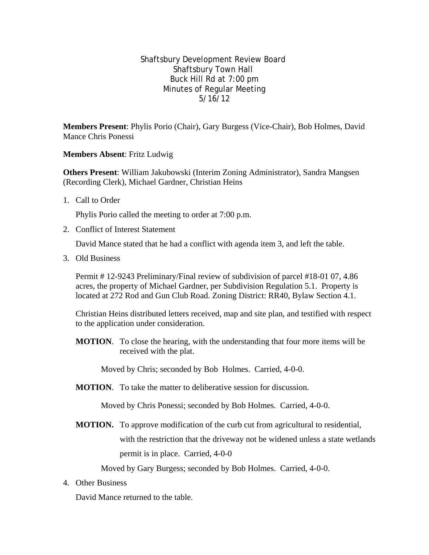Shaftsbury Development Review Board Shaftsbury Town Hall Buck Hill Rd at 7:00 pm Minutes of Regular Meeting 5/16/12

**Members Present**: Phylis Porio (Chair), Gary Burgess (Vice-Chair), Bob Holmes, David Mance Chris Ponessi

**Members Absent**: Fritz Ludwig

**Others Present**: William Jakubowski (Interim Zoning Administrator), Sandra Mangsen (Recording Clerk), Michael Gardner, Christian Heins

1. Call to Order

Phylis Porio called the meeting to order at 7:00 p.m.

2. Conflict of Interest Statement

David Mance stated that he had a conflict with agenda item 3, and left the table.

3. Old Business

Permit # 12-9243 Preliminary/Final review of subdivision of parcel #18-01 07, 4.86 acres, the property of Michael Gardner, per Subdivision Regulation 5.1. Property is located at 272 Rod and Gun Club Road. Zoning District: RR40, Bylaw Section 4.1.

Christian Heins distributed letters received, map and site plan, and testified with respect to the application under consideration.

**MOTION**. To close the hearing, with the understanding that four more items will be received with the plat.

Moved by Chris; seconded by Bob Holmes. Carried, 4-0-0.

**MOTION**. To take the matter to deliberative session for discussion.

Moved by Chris Ponessi; seconded by Bob Holmes. Carried, 4-0-0.

**MOTION.** To approve modification of the curb cut from agricultural to residential, with the restriction that the driveway not be widened unless a state wetlands permit is in place. Carried, 4-0-0

Moved by Gary Burgess; seconded by Bob Holmes. Carried, 4-0-0.

4. Other Business

David Mance returned to the table.